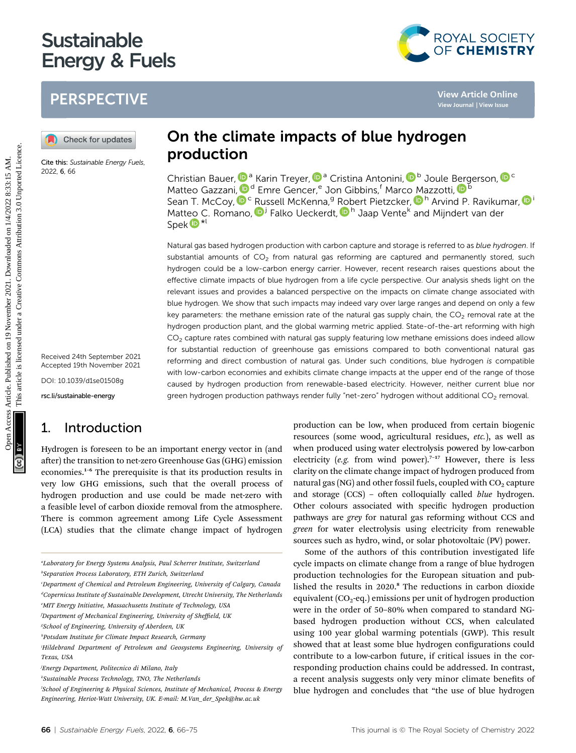# Sustainable<br>Energy & Fuels energy and the function of  $\mathcal{L}_{\mathcal{A}}$

## **PERSPECTIVE**

Cite this: Sustainable Energy Fuels, 2022, 6, 66

Received 24th September 2021 Accepted 19th November 2021

DOI: 10.1039/d1se01508g

rsc.li/sustainable-energy

### 1. Introduction

Hydrogen is foreseen to be an important energy vector in (and after) the transition to net-zero Greenhouse Gas (GHG) emission economies.<sup>1</sup>–<sup>6</sup> The prerequisite is that its production results in very low GHG emissions, such that the overall process of hydrogen production and use could be made net-zero with a feasible level of carbon dioxide removal from the atmosphere. There is common agreement among Life Cycle Assessment (LCA) studies that the climate change impact of hydrogen

Christian Bauer[,](http://orcid.org/0000-0001-7717-308X)  $\mathbf{D}^{\mathsf{a}}$  Karin Treyer,  $\mathbf{D}^{\mathsf{a}}$  Cristina Antonini,  $\mathbf{D}^{\mathsf{b}}$  Joule [Ber](http://orcid.org/0000-0002-4948-6705)gerson,  $\mathbf{D}^{\mathsf{c}}$ Matte[o](http://orcid.org/0000-0002-9403-6711) Gazzani,  $\mathbf{D}^d$  Emre Gencer,<sup>e</sup> Jon Gibbins,<sup>f</sup> [M](http://orcid.org/0000-0002-9403-6711)arco Mazzotti,  $\mathbf{D}^b$ Sean T. McCoy[,](http://orcid.org/0000-0001-8385-6573) <sup>D c</sup> Russell McKenna, <sup>9</sup> [Rob](http://orcid.org/0000-0001-5585-030X)ert Pietzcker, D<sup>h</sup> Arvind P. Ravikumar, D<sup>i</sup> Matteo C. Romano[,](http://orcid.org/0000-0002-0249-269X) D<sup>j</sup> Falko Ueckerdt, D<sup>h</sup> Jaap Vente<sup>k</sup> and Mijndert van der Spek<sup>D\*l</sup>

Natural gas based hydrogen production with carbon capture and storage is referred to as blue hydrogen. If substantial amounts of  $CO<sub>2</sub>$  from natural gas reforming are captured and permanently stored, such hydrogen could be a low-carbon energy carrier. However, recent research raises questions about the effective climate impacts of blue hydrogen from a life cycle perspective. Our analysis sheds light on the relevant issues and provides a balanced perspective on the impacts on climate change associated with blue hydrogen. We show that such impacts may indeed vary over large ranges and depend on only a few key parameters: the methane emission rate of the natural gas supply chain, the  $CO<sub>2</sub>$  removal rate at the hydrogen production plant, and the global warming metric applied. State-of-the-art reforming with high  $CO<sub>2</sub>$  capture rates combined with natural gas supply featuring low methane emissions does indeed allow for substantial reduction of greenhouse gas emissions compared to both conventional natural gas reforming and direct combustion of natural gas. Under such conditions, blue hydrogen is compatible with low-carbon economies and exhibits climate change impacts at the upper end of the range of those caused by hydrogen production from renewable-based electricity. However, neither current blue nor green hydrogen production pathways render fully "net-zero" hydrogen without additional  $CO<sub>2</sub>$  removal. **PERSPECTIVE**<br> **(a)** Cheek for updates<br> **Contained the contained transfersion of the contained transfersion of the contained transfersion of the contained transfersion of the contained contained transfersion of the contai** 

production can be low, when produced from certain biogenic resources (some wood, agricultural residues, etc.), as well as when produced using water electrolysis powered by low-carbon electricity (e.g. from wind power).<sup>7-17</sup> However, there is less clarity on the climate change impact of hydrogen produced from natural gas (NG) and other fossil fuels, coupled with  $CO<sub>2</sub>$  capture and storage  $(CCS)$  – often colloquially called *blue* hydrogen. Other colours associated with specific hydrogen production pathways are grey for natural gas reforming without CCS and green for water electrolysis using electricity from renewable sources such as hydro, wind, or solar photovoltaic (PV) power.

Some of the authors of this contribution investigated life cycle impacts on climate change from a range of blue hydrogen production technologies for the European situation and published the results in 2020.<sup>8</sup> The reductions in carbon dioxide equivalent  $(CO_2$ -eq.) emissions per unit of hydrogen production were in the order of 50–80% when compared to standard NGbased hydrogen production without CCS, when calculated using 100 year global warming potentials (GWP). This result showed that at least some blue hydrogen configurations could contribute to a low-carbon future, if critical issues in the corresponding production chains could be addressed. In contrast, a recent analysis suggests only very minor climate benefits of blue hydrogen and concludes that "the use of blue hydrogen

a Laboratory for Energy Systems Analysis, Paul Scherrer Institute, Switzerland b Separation Process Laboratory, ETH Zurich, Switzerland

c Department of Chemical and Petroleum Engineering, University of Calgary, Canada <sup>a</sup>Copernicus Institute of Sustainable Development, Utrecht University, The Netherlands e MIT Energy Initiative, Massachusetts Institute of Technology, USA

f Department of Mechanical Engineering, University of Sheffield, UK

g School of Engineering, University of Aberdeen, UK

h Potsdam Institute for Climate Impact Research, Germany

i Hildebrand Department of Petroleum and Geosystems Engineering, University of Texas, USA

j Energy Department, Politecnico di Milano, Italy

k Sustainable Process Technology, TNO, The Netherlands

l School of Engineering & Physical Sciences, Institute of Mechanical, Process & Energy Engineering, Heriot-Watt University, UK. E-mail: M.Van\_der\_Spek@hw.ac.uk

On the climate impacts of blue hydrogen production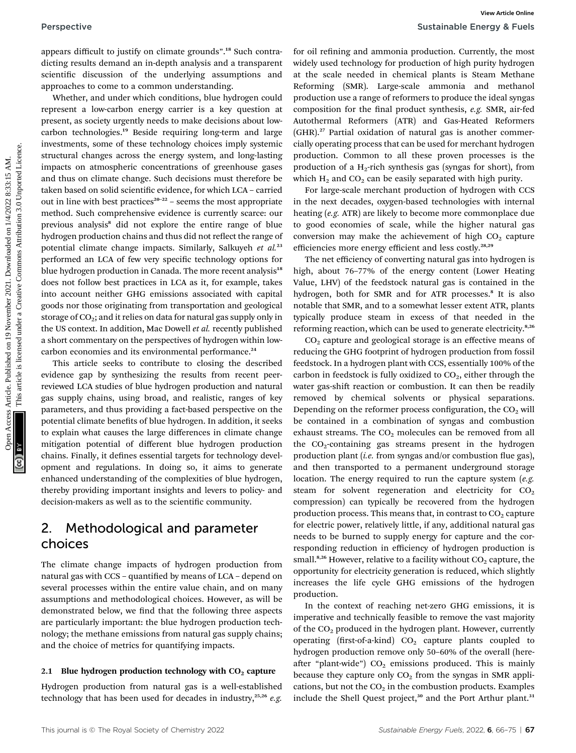appears difficult to justify on climate grounds".<sup>18</sup> Such contradicting results demand an in-depth analysis and a transparent scientific discussion of the underlying assumptions and approaches to come to a common understanding.

Whether, and under which conditions, blue hydrogen could represent a low-carbon energy carrier is a key question at present, as society urgently needs to make decisions about lowcarbon technologies.<sup>19</sup> Beside requiring long-term and large investments, some of these technology choices imply systemic structural changes across the energy system, and long-lasting impacts on atmospheric concentrations of greenhouse gases and thus on climate change. Such decisions must therefore be taken based on solid scientific evidence, for which LCA – carried out in line with best practices $20-22$  – seems the most appropriate method. Such comprehensive evidence is currently scarce: our previous analysis<sup>8</sup> did not explore the entire range of blue hydrogen production chains and thus did not reflect the range of potential climate change impacts. Similarly, Salkuyeh et al.<sup>23</sup> performed an LCA of few very specific technology options for blue hydrogen production in Canada. The more recent analysis<sup>18</sup> does not follow best practices in LCA as it, for example, takes into account neither GHG emissions associated with capital goods nor those originating from transportation and geological storage of  $CO<sub>2</sub>$ ; and it relies on data for natural gas supply only in the US context. In addition, Mac Dowell et al. recently published a short commentary on the perspectives of hydrogen within lowcarbon economies and its environmental performance.<sup>24</sup> **Perspective**<br>Sustainable Energy & Fueld<br>units are appears diffused to main on interapperation and a interapperation of the proposition of the proposition of the proposition of the proposition of the proposition of the pro

This article seeks to contribute to closing the described evidence gap by synthesizing the results from recent peerreviewed LCA studies of blue hydrogen production and natural gas supply chains, using broad, and realistic, ranges of key parameters, and thus providing a fact-based perspective on the potential climate benefits of blue hydrogen. In addition, it seeks to explain what causes the large differences in climate change mitigation potential of different blue hydrogen production chains. Finally, it defines essential targets for technology development and regulations. In doing so, it aims to generate enhanced understanding of the complexities of blue hydrogen, thereby providing important insights and levers to policy- and decision-makers as well as to the scientific community.

### 2. Methodological and parameter choices

The climate change impacts of hydrogen production from natural gas with CCS - quantified by means of LCA - depend on several processes within the entire value chain, and on many assumptions and methodological choices. However, as will be demonstrated below, we find that the following three aspects are particularly important: the blue hydrogen production technology; the methane emissions from natural gas supply chains; and the choice of metrics for quantifying impacts.

### 2.1 Blue hydrogen production technology with  $CO<sub>2</sub>$  capture

Hydrogen production from natural gas is a well-established technology that has been used for decades in industry,<sup>25,26</sup> e.g

for oil refining and ammonia production. Currently, the most widely used technology for production of high purity hydrogen at the scale needed in chemical plants is Steam Methane Reforming (SMR). Large-scale ammonia and methanol production use a range of reformers to produce the ideal syngas composition for the final product synthesis, e.g. SMR, air-fed Autothermal Reformers (ATR) and Gas-Heated Reformers (GHR).<sup>27</sup> Partial oxidation of natural gas is another commercially operating process that can be used for merchant hydrogen production. Common to all these proven processes is the production of a  $H_2$ -rich synthesis gas (syngas for short), from which  $H_2$  and  $CO_2$  can be easily separated with high purity.

For large-scale merchant production of hydrogen with CCS in the next decades, oxygen-based technologies with internal heating (e.g. ATR) are likely to become more commonplace due to good economies of scale, while the higher natural gas conversion may make the achievement of high  $CO<sub>2</sub>$  capture efficiencies more energy efficient and less costly.<sup>28,29</sup>

The net efficiency of converting natural gas into hydrogen is high, about 76–77% of the energy content (Lower Heating Value, LHV) of the feedstock natural gas is contained in the hydrogen, both for SMR and for ATR processes.<sup>8</sup> It is also notable that SMR, and to a somewhat lesser extent ATR, plants typically produce steam in excess of that needed in the reforming reaction, which can be used to generate electricity.<sup>8,26</sup>

 $CO<sub>2</sub>$  capture and geological storage is an effective means of reducing the GHG footprint of hydrogen production from fossil feedstock. In a hydrogen plant with CCS, essentially 100% of the carbon in feedstock is fully oxidized to  $CO<sub>2</sub>$ , either through the water gas-shift reaction or combustion. It can then be readily removed by chemical solvents or physical separations. Depending on the reformer process configuration, the  $CO<sub>2</sub>$  will be contained in a combination of syngas and combustion exhaust streams. The  $CO<sub>2</sub>$  molecules can be removed from all the  $CO<sub>2</sub>$ -containing gas streams present in the hydrogen production plant (i.e. from syngas and/or combustion flue gas), and then transported to a permanent underground storage location. The energy required to run the capture system  $(e.g.,)$ steam for solvent regeneration and electricity for  $CO<sub>2</sub>$ compression) can typically be recovered from the hydrogen production process. This means that, in contrast to  $CO<sub>2</sub>$  capture for electric power, relatively little, if any, additional natural gas needs to be burned to supply energy for capture and the corresponding reduction in efficiency of hydrogen production is small.<sup>8,26</sup> However, relative to a facility without  $CO<sub>2</sub>$  capture, the opportunity for electricity generation is reduced, which slightly increases the life cycle GHG emissions of the hydrogen production.

In the context of reaching net-zero GHG emissions, it is imperative and technically feasible to remove the vast majority of the  $CO<sub>2</sub>$  produced in the hydrogen plant. However, currently operating (first-of-a-kind)  $CO<sub>2</sub>$  capture plants coupled to hydrogen production remove only 50–60% of the overall (hereafter "plant-wide")  $CO<sub>2</sub>$  emissions produced. This is mainly because they capture only  $CO<sub>2</sub>$  from the syngas in SMR applications, but not the  $CO<sub>2</sub>$  in the combustion products. Examples include the Shell Quest project,<sup>30</sup> and the Port Arthur plant.<sup>31</sup>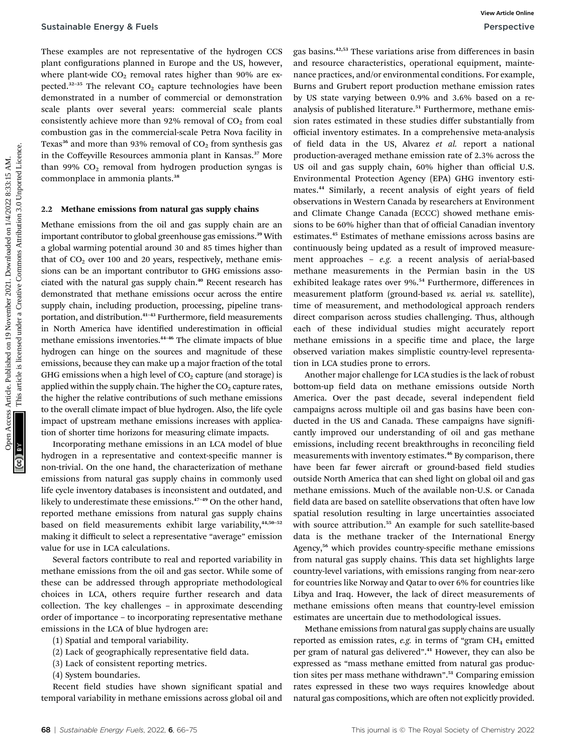These examples are not representative of the hydrogen CCS plant configurations planned in Europe and the US, however, where plant-wide  $CO<sub>2</sub>$  removal rates higher than 90% are expected. $32-35$  The relevant  $CO<sub>2</sub>$  capture technologies have been demonstrated in a number of commercial or demonstration scale plants over several years: commercial scale plants consistently achieve more than 92% removal of  $CO<sub>2</sub>$  from coal combustion gas in the commercial-scale Petra Nova facility in Texas<sup>36</sup> and more than 93% removal of  $CO<sub>2</sub>$  from synthesis gas in the Coffeyville Resources ammonia plant in Kansas.<sup>37</sup> More than 99%  $CO<sub>2</sub>$  removal from hydrogen production syngas is commonplace in ammonia plants.<sup>38</sup>

### 2.2 Methane emissions from natural gas supply chains

Methane emissions from the oil and gas supply chain are an important contributor to global greenhouse gas emissions.<sup>39</sup> With a global warming potential around 30 and 85 times higher than that of  $CO<sub>2</sub>$  over 100 and 20 years, respectively, methane emissions can be an important contributor to GHG emissions associated with the natural gas supply chain.<sup>40</sup> Recent research has demonstrated that methane emissions occur across the entire supply chain, including production, processing, pipeline transportation, and distribution.<sup>41-43</sup> Furthermore, field measurements in North America have identified underestimation in official methane emissions inventories.<sup>44</sup>–<sup>46</sup> The climate impacts of blue hydrogen can hinge on the sources and magnitude of these emissions, because they can make up a major fraction of the total GHG emissions when a high level of  $CO<sub>2</sub>$  capture (and storage) is applied within the supply chain. The higher the  $CO<sub>2</sub>$  capture rates, the higher the relative contributions of such methane emissions to the overall climate impact of blue hydrogen. Also, the life cycle impact of upstream methane emissions increases with application of shorter time horizons for measuring climate impacts.

Incorporating methane emissions in an LCA model of blue hydrogen in a representative and context-specific manner is non-trivial. On the one hand, the characterization of methane emissions from natural gas supply chains in commonly used life cycle inventory databases is inconsistent and outdated, and likely to underestimate these emissions.<sup>47-49</sup> On the other hand, reported methane emissions from natural gas supply chains based on field measurements exhibit large variability, $44,50-52$ making it difficult to select a representative "average" emission value for use in LCA calculations.

Several factors contribute to real and reported variability in methane emissions from the oil and gas sector. While some of these can be addressed through appropriate methodological choices in LCA, others require further research and data collection. The key challenges – in approximate descending order of importance – to incorporating representative methane emissions in the LCA of blue hydrogen are:

- (1) Spatial and temporal variability.
- $(2)$  Lack of geographically representative field data.
- (3) Lack of consistent reporting metrics.

(4) System boundaries.

Recent field studies have shown significant spatial and temporal variability in methane emissions across global oil and

gas basins.42,53 These variations arise from differences in basin and resource characteristics, operational equipment, maintenance practices, and/or environmental conditions. For example, Burns and Grubert report production methane emission rates by US state varying between 0.9% and 3.6% based on a reanalysis of published literature.<sup>51</sup> Furthermore, methane emission rates estimated in these studies differ substantially from official inventory estimates. In a comprehensive meta-analysis of field data in the US, Alvarez et al. report a national production-averaged methane emission rate of 2.3% across the US oil and gas supply chain, 60% higher than official U.S. Environmental Protection Agency (EPA) GHG inventory estimates.<sup>44</sup> Similarly, a recent analysis of eight years of field observations in Western Canada by researchers at Environment and Climate Change Canada (ECCC) showed methane emissions to be 60% higher than that of official Canadian inventory estimates.<sup>45</sup> Estimates of methane emissions across basins are continuously being updated as a result of improved measurement approaches – e.g. a recent analysis of aerial-based methane measurements in the Permian basin in the US exhibited leakage rates over 9%.<sup>54</sup> Furthermore, differences in measurement platform (ground-based vs. aerial vs. satellite), time of measurement, and methodological approach renders direct comparison across studies challenging. Thus, although each of these individual studies might accurately report methane emissions in a specific time and place, the large observed variation makes simplistic country-level representation in LCA studies prone to errors. Sustainable Energy & Fuels<br>
These camples are not represented on 19 November 2021. The common competition of the most competition of the most common competition of the most common common common common common common common

Another major challenge for LCA studies is the lack of robust bottom-up field data on methane emissions outside North America. Over the past decade, several independent field campaigns across multiple oil and gas basins have been conducted in the US and Canada. These campaigns have significantly improved our understanding of oil and gas methane emissions, including recent breakthroughs in reconciling field measurements with inventory estimates.<sup>46</sup> By comparison, there have been far fewer aircraft or ground-based field studies outside North America that can shed light on global oil and gas methane emissions. Much of the available non-U.S. or Canada field data are based on satellite observations that often have low spatial resolution resulting in large uncertainties associated with source attribution.<sup>55</sup> An example for such satellite-based data is the methane tracker of the International Energy Agency,<sup>56</sup> which provides country-specific methane emissions from natural gas supply chains. This data set highlights large country-level variations, with emissions ranging from near-zero for countries like Norway and Qatar to over 6% for countries like Libya and Iraq. However, the lack of direct measurements of methane emissions often means that country-level emission estimates are uncertain due to methodological issues.

Methane emissions from natural gas supply chains are usually reported as emission rates,  $e.g.$  in terms of "gram CH<sub>4</sub> emitted per gram of natural gas delivered".<sup>41</sup> However, they can also be expressed as "mass methane emitted from natural gas production sites per mass methane withdrawn". <sup>51</sup> Comparing emission rates expressed in these two ways requires knowledge about natural gas compositions, which are often not explicitly provided.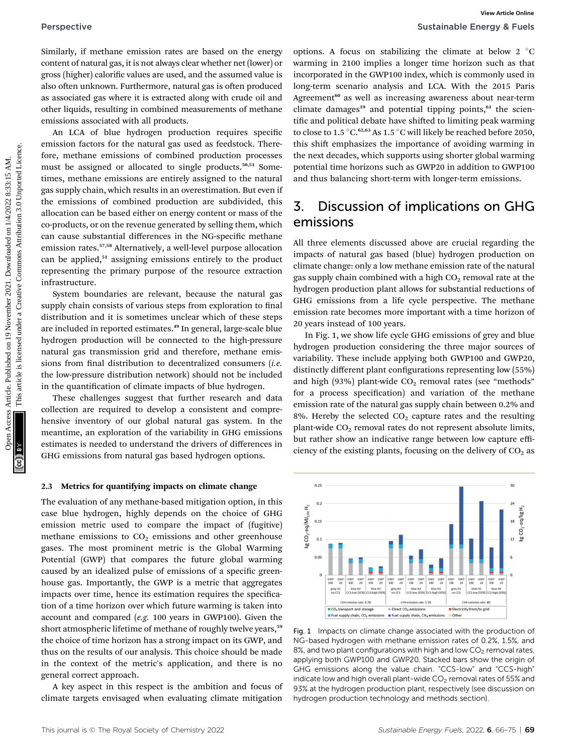Similarly, if methane emission rates are based on the energy content of natural gas, it is not always clear whether net (lower) or gross (higher) calorific values are used, and the assumed value is also often unknown. Furthermore, natural gas is often produced as associated gas where it is extracted along with crude oil and other liquids, resulting in combined measurements of methane emissions associated with all products.

An LCA of blue hydrogen production requires specific emission factors for the natural gas used as feedstock. Therefore, methane emissions of combined production processes must be assigned or allocated to single products.<sup>50,51</sup> Sometimes, methane emissions are entirely assigned to the natural gas supply chain, which results in an overestimation. But even if the emissions of combined production are subdivided, this allocation can be based either on energy content or mass of the co-products, or on the revenue generated by selling them, which can cause substantial differences in the NG-specific methane emission rates.57,58 Alternatively, a well-level purpose allocation can be applied,<sup>51</sup> assigning emissions entirely to the product representing the primary purpose of the resource extraction infrastructure. Perspective Sumilarly, if methane emission taxe are based on the emassy environs. A focus on attaching the class common of common articles are the common and the simulation of the common and the simulation of the common a

System boundaries are relevant, because the natural gas supply chain consists of various steps from exploration to final distribution and it is sometimes unclear which of these steps are included in reported estimates.<sup>49</sup> In general, large-scale blue hydrogen production will be connected to the high-pressure natural gas transmission grid and therefore, methane emissions from final distribution to decentralized consumers  $(i.e.$ the low-pressure distribution network) should not be included in the quantification of climate impacts of blue hydrogen.

These challenges suggest that further research and data collection are required to develop a consistent and comprehensive inventory of our global natural gas system. In the meantime, an exploration of the variability in GHG emissions estimates is needed to understand the drivers of differences in GHG emissions from natural gas based hydrogen options.

### 2.3 Metrics for quantifying impacts on climate change

The evaluation of any methane-based mitigation option, in this case blue hydrogen, highly depends on the choice of GHG emission metric used to compare the impact of (fugitive) methane emissions to  $CO<sub>2</sub>$  emissions and other greenhouse gases. The most prominent metric is the Global Warming Potential (GWP) that compares the future global warming caused by an idealized pulse of emissions of a specific greenhouse gas. Importantly, the GWP is a metric that aggregates impacts over time, hence its estimation requires the specification of a time horizon over which future warming is taken into account and compared (e.g. 100 years in GWP100). Given the short atmospheric lifetime of methane of roughly twelve years,<sup>59</sup> the choice of time horizon has a strong impact on its GWP, and thus on the results of our analysis. This choice should be made in the context of the metric's application, and there is no general correct approach.

A key aspect in this respect is the ambition and focus of climate targets envisaged when evaluating climate mitigation

options. A focus on stabilizing the climate at below  $2 \degree C$ warming in 2100 implies a longer time horizon such as that incorporated in the GWP100 index, which is commonly used in long-term scenario analysis and LCA. With the 2015 Paris Agreement<sup>60</sup> as well as increasing awareness about near-term climate damages<sup>19</sup> and potential tipping points, $61$  the scientific and political debate have shifted to limiting peak warming to close to 1.5  $\mathrm{^{\circ}C}.^{62,63}$  As 1.5  $\mathrm{^{\circ}C}$  will likely be reached before 2050, this shift emphasizes the importance of avoiding warming in the next decades, which supports using shorter global warming potential time horizons such as GWP20 in addition to GWP100 and thus balancing short-term with longer-term emissions.

### 3. Discussion of implications on GHG emissions

All three elements discussed above are crucial regarding the impacts of natural gas based (blue) hydrogen production on climate change: only a low methane emission rate of the natural gas supply chain combined with a high  $CO<sub>2</sub>$  removal rate at the hydrogen production plant allows for substantial reductions of GHG emissions from a life cycle perspective. The methane emission rate becomes more important with a time horizon of 20 years instead of 100 years.

In Fig. 1, we show life cycle GHG emissions of grey and blue hydrogen production considering the three major sources of variability. These include applying both GWP100 and GWP20, distinctly different plant configurations representing low (55%) and high (93%) plant-wide  $CO<sub>2</sub>$  removal rates (see "methods" for a process specification) and variation of the methane emission rate of the natural gas supply chain between 0.2% and 8%. Hereby the selected  $CO<sub>2</sub>$  capture rates and the resulting plant-wide  $CO<sub>2</sub>$  removal rates do not represent absolute limits, but rather show an indicative range between low capture efficiency of the existing plants, focusing on the delivery of  $CO<sub>2</sub>$  as



Fig. 1 Impacts on climate change associated with the production of NG-based hydrogen with methane emission rates of 0.2%, 1.5%, and 8%, and two plant configurations with high and low  $CO<sub>2</sub>$  removal rates, applying both GWP100 and GWP20. Stacked bars show the origin of GHG emissions along the value chain. "CCS-low" and "CCS-high" indicate low and high overall plant-wide  $CO<sub>2</sub>$  removal rates of 55% and 93% at the hydrogen production plant, respectively (see discussion on hydrogen production technology and methods section).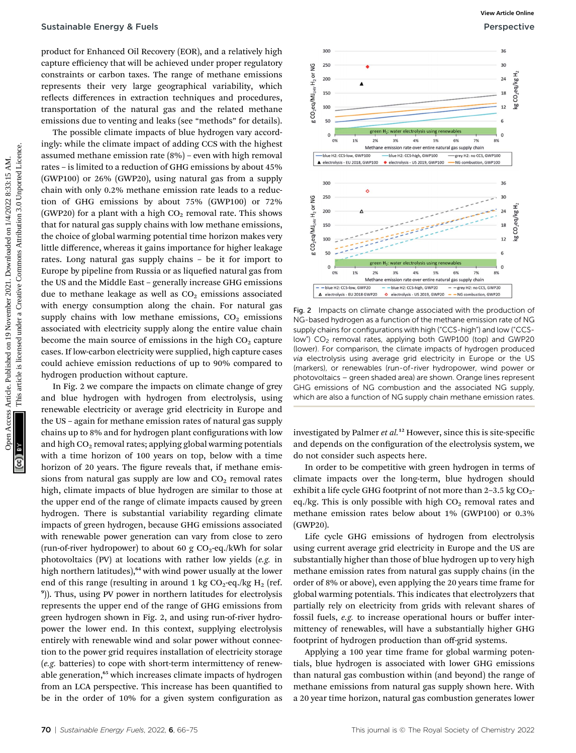product for Enhanced Oil Recovery (EOR), and a relatively high capture efficiency that will be achieved under proper regulatory constraints or carbon taxes. The range of methane emissions represents their very large geographical variability, which reflects differences in extraction techniques and procedures, transportation of the natural gas and the related methane emissions due to venting and leaks (see "methods" for details).

The possible climate impacts of blue hydrogen vary accordingly: while the climate impact of adding CCS with the highest assumed methane emission rate (8%) – even with high removal rates – is limited to a reduction of GHG emissions by about 45% (GWP100) or 26% (GWP20), using natural gas from a supply chain with only 0.2% methane emission rate leads to a reduction of GHG emissions by about 75% (GWP100) or 72% (GWP20) for a plant with a high  $CO<sub>2</sub>$  removal rate. This shows that for natural gas supply chains with low methane emissions, the choice of global warming potential time horizon makes very little difference, whereas it gains importance for higher leakage rates. Long natural gas supply chains – be it for import to Europe by pipeline from Russia or as liquefied natural gas from the US and the Middle East – generally increase GHG emissions due to methane leakage as well as  $CO<sub>2</sub>$  emissions associated with energy consumption along the chain. For natural gas supply chains with low methane emissions,  $CO<sub>2</sub>$  emissions associated with electricity supply along the entire value chain become the main source of emissions in the high  $CO<sub>2</sub>$  capture cases. If low-carbon electricity were supplied, high capture cases could achieve emission reductions of up to 90% compared to hydrogen production without capture.

In Fig. 2 we compare the impacts on climate change of grey and blue hydrogen with hydrogen from electrolysis, using renewable electricity or average grid electricity in Europe and the US – again for methane emission rates of natural gas supply chains up to 8% and for hydrogen plant configurations with low and high  $CO<sub>2</sub>$  removal rates; applying global warming potentials with a time horizon of 100 years on top, below with a time horizon of 20 years. The figure reveals that, if methane emissions from natural gas supply are low and  $CO<sub>2</sub>$  removal rates high, climate impacts of blue hydrogen are similar to those at the upper end of the range of climate impacts caused by green hydrogen. There is substantial variability regarding climate impacts of green hydrogen, because GHG emissions associated with renewable power generation can vary from close to zero (run-of-river hydropower) to about 60 g  $CO<sub>2</sub>$ -eq./kWh for solar photovoltaics (PV) at locations with rather low yields (e.g. in high northern latitudes),<sup>64</sup> with wind power usually at the lower end of this range (resulting in around 1 kg  $CO_2$ -eq./kg H<sub>2</sub> (ref. 9 )). Thus, using PV power in northern latitudes for electrolysis represents the upper end of the range of GHG emissions from green hydrogen shown in Fig. 2, and using run-of-river hydropower the lower end. In this context, supplying electrolysis entirely with renewable wind and solar power without connection to the power grid requires installation of electricity storage (e.g. batteries) to cope with short-term intermittency of renewable generation,<sup>65</sup> which increases climate impacts of hydrogen from an LCA perspective. This increase has been quantified to be in the order of 10% for a given system configuration as



Fig. 2 Impacts on climate change associated with the production of NG-based hydrogen as a function of the methane emission rate of NG supply chains for configurations with high ("CCS-high") and low ("CCSlow") CO<sub>2</sub> removal rates, applying both GWP100 (top) and GWP20 (lower). For comparison, the climate impacts of hydrogen produced via electrolysis using average grid electricity in Europe or the US (markers), or renewables (run-of-river hydropower, wind power or photovoltaics – green shaded area) are shown. Orange lines represent GHG emissions of NG combustion and the associated NG supply, which are also a function of NG supply chain methane emission rates.

investigated by Palmer et al.<sup>12</sup> However, since this is site-specific and depends on the configuration of the electrolysis system, we do not consider such aspects here.

In order to be competitive with green hydrogen in terms of climate impacts over the long-term, blue hydrogen should exhibit a life cycle GHG footprint of not more than  $2-3.5$  kg  $CO<sub>2</sub>$ eq./kg. This is only possible with high  $CO<sub>2</sub>$  removal rates and methane emission rates below about 1% (GWP100) or 0.3% (GWP20).

Life cycle GHG emissions of hydrogen from electrolysis using current average grid electricity in Europe and the US are substantially higher than those of blue hydrogen up to very high methane emission rates from natural gas supply chains (in the order of 8% or above), even applying the 20 years time frame for global warming potentials. This indicates that electrolyzers that partially rely on electricity from grids with relevant shares of fossil fuels, e.g. to increase operational hours or buffer intermittency of renewables, will have a substantially higher GHG footprint of hydrogen production than off-grid systems.

Applying a 100 year time frame for global warming potentials, blue hydrogen is associated with lower GHG emissions than natural gas combustion within (and beyond) the range of methane emissions from natural gas supply shown here. With a 20 year time horizon, natural gas combustion generates lower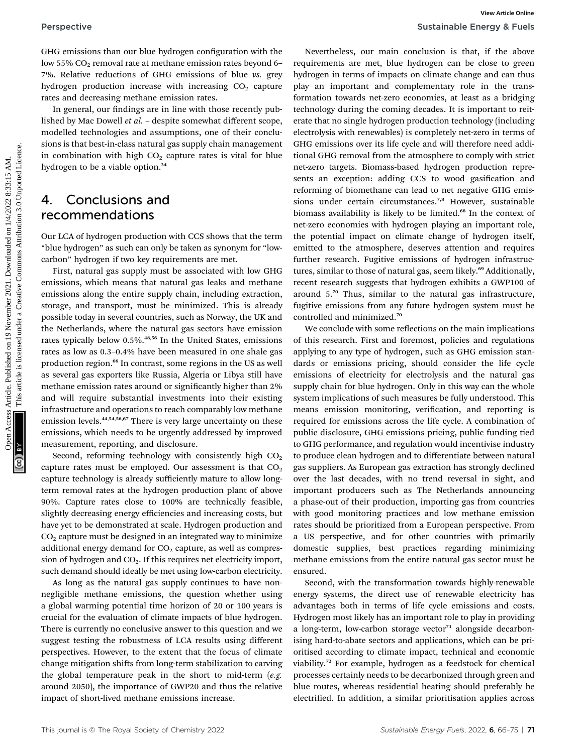Perspective Sustainable Energy & Fuels

GHG emissions than our blue hydrogen configuration with the low 55%  $CO<sub>2</sub>$  removal rate at methane emission rates beyond 6– 7%. Relative reductions of GHG emissions of blue vs. grey hydrogen production increase with increasing  $CO<sub>2</sub>$  capture rates and decreasing methane emission rates.

In general, our findings are in line with those recently published by Mac Dowell et al. – despite somewhat different scope, modelled technologies and assumptions, one of their conclusions is that best-in-class natural gas supply chain management in combination with high  $CO<sub>2</sub>$  capture rates is vital for blue hydrogen to be a viable option.<sup>24</sup>

### 4. Conclusions and recommendations

Our LCA of hydrogen production with CCS shows that the term "blue hydrogen" as such can only be taken as synonym for "lowcarbon" hydrogen if two key requirements are met.

First, natural gas supply must be associated with low GHG emissions, which means that natural gas leaks and methane emissions along the entire supply chain, including extraction, storage, and transport, must be minimized. This is already possible today in several countries, such as Norway, the UK and the Netherlands, where the natural gas sectors have emission rates typically below 0.5%.48,56 In the United States, emissions rates as low as 0.3–0.4% have been measured in one shale gas production region.<sup>66</sup> In contrast, some regions in the US as well as several gas exporters like Russia, Algeria or Libya still have methane emission rates around or significantly higher than 2% and will require substantial investments into their existing infrastructure and operations to reach comparably low methane emission levels.<sup>44,54,56,67</sup> There is very large uncertainty on these emissions, which needs to be urgently addressed by improved measurement, reporting, and disclosure.

Second, reforming technology with consistently high  $CO<sub>2</sub>$ capture rates must be employed. Our assessment is that  $CO<sub>2</sub>$ capture technology is already sufficiently mature to allow longterm removal rates at the hydrogen production plant of above 90%. Capture rates close to 100% are technically feasible, slightly decreasing energy efficiencies and increasing costs, but have yet to be demonstrated at scale. Hydrogen production and  $CO<sub>2</sub>$  capture must be designed in an integrated way to minimize additional energy demand for  $CO<sub>2</sub>$  capture, as well as compression of hydrogen and CO<sub>2</sub>. If this requires net electricity import, such demand should ideally be met using low-carbon electricity.

As long as the natural gas supply continues to have nonnegligible methane emissions, the question whether using a global warming potential time horizon of 20 or 100 years is crucial for the evaluation of climate impacts of blue hydrogen. There is currently no conclusive answer to this question and we suggest testing the robustness of LCA results using different perspectives. However, to the extent that the focus of climate change mitigation shifts from long-term stabilization to carving the global temperature peak in the short to mid-term  $(e.g.,)$ around 2050), the importance of GWP20 and thus the relative impact of short-lived methane emissions increase.

Nevertheless, our main conclusion is that, if the above requirements are met, blue hydrogen can be close to green hydrogen in terms of impacts on climate change and can thus play an important and complementary role in the transformation towards net-zero economies, at least as a bridging technology during the coming decades. It is important to reiterate that no single hydrogen production technology (including electrolysis with renewables) is completely net-zero in terms of GHG emissions over its life cycle and will therefore need additional GHG removal from the atmosphere to comply with strict net-zero targets. Biomass-based hydrogen production represents an exception: adding CCS to wood gasification and reforming of biomethane can lead to net negative GHG emissions under certain circumstances.<sup>7,8</sup> However, sustainable biomass availability is likely to be limited.<sup>68</sup> In the context of net-zero economies with hydrogen playing an important role, the potential impact on climate change of hydrogen itself, emitted to the atmosphere, deserves attention and requires further research. Fugitive emissions of hydrogen infrastructures, similar to those of natural gas, seem likely.<sup>69</sup> Additionally, recent research suggests that hydrogen exhibits a GWP100 of around 5.<sup>70</sup> Thus, similar to the natural gas infrastructure, fugitive emissions from any future hydrogen system must be controlled and minimized.<sup>70</sup> Perspective Sustainable Energy & Follow<br>
On the contrast are not the contrast are not the contrast are not the contrast are not the contrast are not the contrast are not the commonstrate in the contrast are not the common

We conclude with some reflections on the main implications of this research. First and foremost, policies and regulations applying to any type of hydrogen, such as GHG emission standards or emissions pricing, should consider the life cycle emissions of electricity for electrolysis and the natural gas supply chain for blue hydrogen. Only in this way can the whole system implications of such measures be fully understood. This means emission monitoring, verification, and reporting is required for emissions across the life cycle. A combination of public disclosure, GHG emissions pricing, public funding tied to GHG performance, and regulation would incentivise industry to produce clean hydrogen and to differentiate between natural gas suppliers. As European gas extraction has strongly declined over the last decades, with no trend reversal in sight, and important producers such as The Netherlands announcing a phase-out of their production, importing gas from countries with good monitoring practices and low methane emission rates should be prioritized from a European perspective. From a US perspective, and for other countries with primarily domestic supplies, best practices regarding minimizing methane emissions from the entire natural gas sector must be ensured.

Second, with the transformation towards highly-renewable energy systems, the direct use of renewable electricity has advantages both in terms of life cycle emissions and costs. Hydrogen most likely has an important role to play in providing a long-term, low-carbon storage vector $71$  alongside decarbonising hard-to-abate sectors and applications, which can be prioritised according to climate impact, technical and economic viability.<sup>72</sup> For example, hydrogen as a feedstock for chemical processes certainly needs to be decarbonized through green and blue routes, whereas residential heating should preferably be electrified. In addition, a similar prioritisation applies across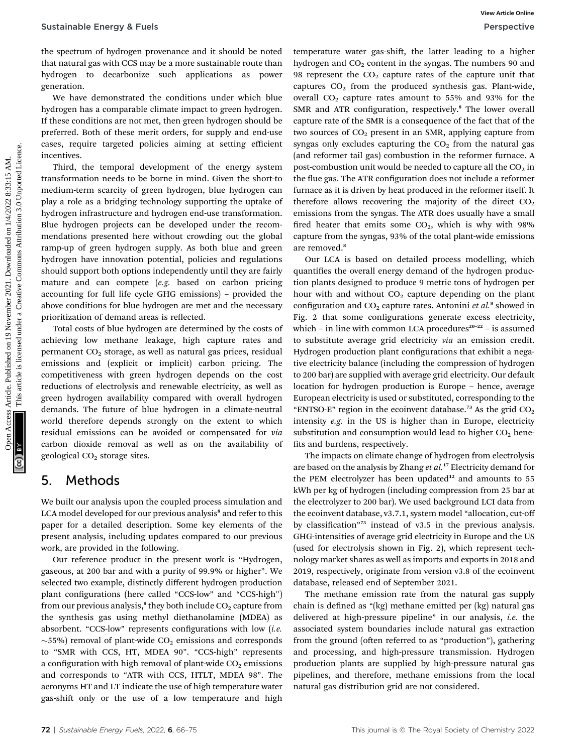the spectrum of hydrogen provenance and it should be noted that natural gas with CCS may be a more sustainable route than hydrogen to decarbonize such applications as power generation.

We have demonstrated the conditions under which blue hydrogen has a comparable climate impact to green hydrogen. If these conditions are not met, then green hydrogen should be preferred. Both of these merit orders, for supply and end-use cases, require targeted policies aiming at setting efficient incentives.

Third, the temporal development of the energy system transformation needs to be borne in mind. Given the short-to medium-term scarcity of green hydrogen, blue hydrogen can play a role as a bridging technology supporting the uptake of hydrogen infrastructure and hydrogen end-use transformation. Blue hydrogen projects can be developed under the recommendations presented here without crowding out the global ramp-up of green hydrogen supply. As both blue and green hydrogen have innovation potential, policies and regulations should support both options independently until they are fairly mature and can compete (e.g. based on carbon pricing accounting for full life cycle GHG emissions) – provided the above conditions for blue hydrogen are met and the necessary prioritization of demand areas is reflected.

Total costs of blue hydrogen are determined by the costs of achieving low methane leakage, high capture rates and permanent CO<sub>2</sub> storage, as well as natural gas prices, residual emissions and (explicit or implicit) carbon pricing. The competitiveness with green hydrogen depends on the cost reductions of electrolysis and renewable electricity, as well as green hydrogen availability compared with overall hydrogen demands. The future of blue hydrogen in a climate-neutral world therefore depends strongly on the extent to which residual emissions can be avoided or compensated for via carbon dioxide removal as well as on the availability of geological CO<sub>2</sub> storage sites.

### 5. Methods

We built our analysis upon the coupled process simulation and LCA model developed for our previous analysis<sup>8</sup> and refer to this paper for a detailed description. Some key elements of the present analysis, including updates compared to our previous work, are provided in the following.

Our reference product in the present work is "Hydrogen, gaseous, at 200 bar and with a purity of 99.9% or higher". We selected two example, distinctly different hydrogen production plant configurations (here called "CCS-low" and "CCS-high") from our previous analysis,<sup>8</sup> they both include  $CO<sub>2</sub>$  capture from the synthesis gas using methyl diethanolamine (MDEA) as absorbent. "CCS-low" represents configurations with low  $(i.e.$  $\sim$ 55%) removal of plant-wide CO<sub>2</sub> emissions and corresponds to "SMR with CCS, HT, MDEA 90". "CCS-high" represents a configuration with high removal of plant-wide  $CO<sub>2</sub>$  emissions and corresponds to "ATR with CCS, HTLT, MDEA 98". The acronyms HT and LT indicate the use of high temperature water gas-shift only or the use of a low temperature and high

temperature water gas-shift, the latter leading to a higher hydrogen and  $CO<sub>2</sub>$  content in the syngas. The numbers 90 and 98 represent the  $CO<sub>2</sub>$  capture rates of the capture unit that captures  $CO<sub>2</sub>$  from the produced synthesis gas. Plant-wide, overall  $CO<sub>2</sub>$  capture rates amount to 55% and 93% for the SMR and ATR configuration, respectively.<sup>8</sup> The lower overall capture rate of the SMR is a consequence of the fact that of the two sources of  $CO<sub>2</sub>$  present in an SMR, applying capture from syngas only excludes capturing the  $CO<sub>2</sub>$  from the natural gas (and reformer tail gas) combustion in the reformer furnace. A post-combustion unit would be needed to capture all the  $CO<sub>2</sub>$  in the flue gas. The ATR configuration does not include a reformer furnace as it is driven by heat produced in the reformer itself. It therefore allows recovering the majority of the direct  $CO<sub>2</sub>$ emissions from the syngas. The ATR does usually have a small fired heater that emits some  $CO<sub>2</sub>$ , which is why with 98% capture from the syngas, 93% of the total plant-wide emissions are removed.<sup>8</sup> Sustainable Energy & Fuels<br>
The spectrum of hydrogen provenance and it should be noted to improve on the product symptom in the symptom common and the symptom common between 2021. One means the symptom common and the symp

Our LCA is based on detailed process modelling, which quantifies the overall energy demand of the hydrogen production plants designed to produce 9 metric tons of hydrogen per hour with and without  $CO<sub>2</sub>$  capture depending on the plant configuration and  $CO<sub>2</sub>$  capture rates. Antonini et al.<sup>8</sup> showed in Fig. 2 that some configurations generate excess electricity, which – in line with common LCA procedures $20-22$  – is assumed to substitute average grid electricity via an emission credit. Hydrogen production plant configurations that exhibit a negative electricity balance (including the compression of hydrogen to 200 bar) are supplied with average grid electricity. Our default location for hydrogen production is Europe – hence, average European electricity is used or substituted, corresponding to the "ENTSO-E" region in the ecoinvent database.<sup>73</sup> As the grid  $CO<sub>2</sub>$ intensity e.g. in the US is higher than in Europe, electricity substitution and consumption would lead to higher  $CO<sub>2</sub>$  benefits and burdens, respectively.

The impacts on climate change of hydrogen from electrolysis are based on the analysis by Zhang et al.<sup>17</sup> Electricity demand for the PEM electrolyzer has been updated $12$  and amounts to 55 kWh per kg of hydrogen (including compression from 25 bar at the electrolyzer to 200 bar). We used background LCI data from the ecoinvent database, v3.7.1, system model "allocation, cut-off by classification"<sup>73</sup> instead of v3.5 in the previous analysis. GHG-intensities of average grid electricity in Europe and the US (used for electrolysis shown in Fig. 2), which represent technology market shares as well as imports and exports in 2018 and 2019, respectively, originate from version v3.8 of the ecoinvent database, released end of September 2021.

The methane emission rate from the natural gas supply chain is defined as "(kg) methane emitted per (kg) natural gas delivered at high-pressure pipeline" in our analysis, i.e. the associated system boundaries include natural gas extraction from the ground (often referred to as "production"), gathering and processing, and high-pressure transmission. Hydrogen production plants are supplied by high-pressure natural gas pipelines, and therefore, methane emissions from the local natural gas distribution grid are not considered.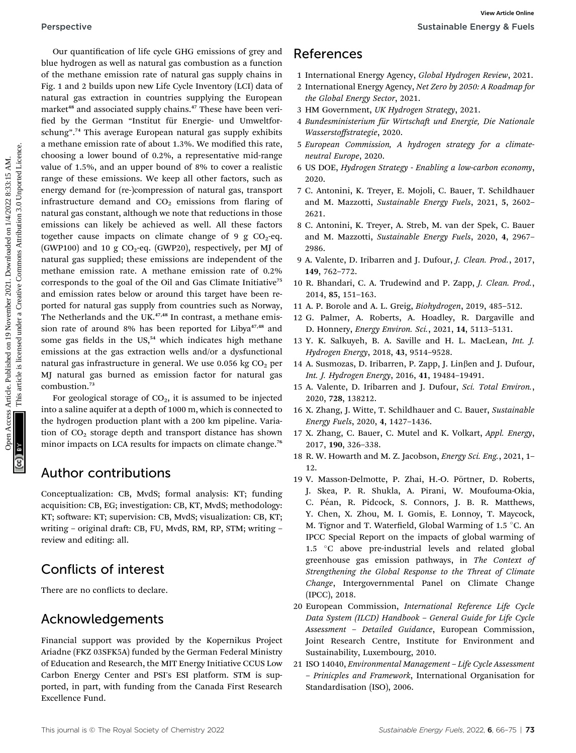Our quantification of life cycle GHG emissions of grey and blue hydrogen as well as natural gas combustion as a function of the methane emission rate of natural gas supply chains in Fig. 1 and 2 builds upon new Life Cycle Inventory (LCI) data of natural gas extraction in countries supplying the European market<sup>48</sup> and associated supply chains.<sup>47</sup> These have been verified by the German "Institut für Energie- und Umweltforschung". <sup>74</sup> This average European natural gas supply exhibits a methane emission rate of about 1.3%. We modified this rate, choosing a lower bound of 0.2%, a representative mid-range value of 1.5%, and an upper bound of 8% to cover a realistic range of these emissions. We keep all other factors, such as energy demand for (re-)compression of natural gas, transport infrastructure demand and  $CO<sub>2</sub>$  emissions from flaring of natural gas constant, although we note that reductions in those emissions can likely be achieved as well. All these factors together cause impacts on climate change of 9 g  $CO<sub>2</sub>$ -eq. (GWP100) and 10 g  $CO<sub>2</sub>$ -eq. (GWP20), respectively, per MJ of natural gas supplied; these emissions are independent of the methane emission rate. A methane emission rate of 0.2% corresponds to the goal of the Oil and Gas Climate Initiative<sup>75</sup> and emission rates below or around this target have been reported for natural gas supply from countries such as Norway, The Netherlands and the UK.<sup>47,48</sup> In contrast, a methane emission rate of around 8% has been reported for Libya<sup>47,48</sup> and some gas fields in the  $US<sub>1</sub><sup>54</sup>$  which indicates high methane emissions at the gas extraction wells and/or a dysfunctional natural gas infrastructure in general. We use  $0.056 \text{ kg CO}_2$  per MJ natural gas burned as emission factor for natural gas combustion.<sup>73</sup> Perspective Sustainable Energy estatinable Energy Agres and the Common Common Common Common Common Common Common Common Common Common Common Common Common Common Common Common Common Common Common Common Common Common Com

For geological storage of  $CO<sub>2</sub>$ , it is assumed to be injected into a saline aquifer at a depth of 1000 m, which is connected to the hydrogen production plant with a 200 km pipeline. Variation of CO<sub>2</sub> storage depth and transport distance has shown minor impacts on LCA results for impacts on climate change.<sup>76</sup>

### Author contributions

Conceptualization: CB, MvdS; formal analysis: KT; funding acquisition: CB, EG; investigation: CB, KT, MvdS; methodology: KT; software: KT; supervision: CB, MvdS; visualization: CB, KT; writing - original draft: CB, FU, MvdS, RM, RP, STM; writing review and editing: all.

## Conflicts of interest

There are no conflicts to declare.

## Acknowledgements

Financial support was provided by the Kopernikus Project Ariadne (FKZ 03SFK5A) funded by the German Federal Ministry of Education and Research, the MIT Energy Initiative CCUS Low Carbon Energy Center and PSI's ESI platform. STM is supported, in part, with funding from the Canada First Research Excellence Fund.

- 1 International Energy Agency, Global Hydrogen Review, 2021.
- 2 International Energy Agency, Net Zero by 2050: A Roadmap for the Global Energy Sector, 2021.
- 3 HM Government, UK Hydrogen Strategy, 2021.
- 4 Bundesministerium für Wirtschaft und Energie, Die Nationale Wasserstoffstrategie, 2020.
- 5 European Commission, A hydrogen strategy for a climateneutral Europe, 2020.
- 6 US DOE, Hydrogen Strategy Enabling a low-carbon economy, 2020.
- 7 C. Antonini, K. Treyer, E. Mojoli, C. Bauer, T. Schildhauer and M. Mazzotti, Sustainable Energy Fuels, 2021, 5, 2602– 2621.
- 8 C. Antonini, K. Treyer, A. Streb, M. van der Spek, C. Bauer and M. Mazzotti, Sustainable Energy Fuels, 2020, 4, 2967– 2986.
- 9 A. Valente, D. Iribarren and J. Dufour, J. Clean. Prod., 2017, 149, 762–772.
- 10 R. Bhandari, C. A. Trudewind and P. Zapp, J. Clean. Prod., 2014, 85, 151–163.
- 11 A. P. Borole and A. L. Greig, Biohydrogen, 2019, 485–512.
- 12 G. Palmer, A. Roberts, A. Hoadley, R. Dargaville and D. Honnery, Energy Environ. Sci., 2021, 14, 5113–5131.
- 13 Y. K. Salkuyeh, B. A. Saville and H. L. MacLean, Int. J. Hydrogen Energy, 2018, 43, 9514–9528.
- 14 A. Susmozas, D. Iribarren, P. Zapp, J. Linben and J. Dufour, Int. J. Hydrogen Energy, 2016, 41, 19484–19491.
- 15 A. Valente, D. Iribarren and J. Dufour, Sci. Total Environ., 2020, 728, 138212.
- 16 X. Zhang, J. Witte, T. Schildhauer and C. Bauer, Sustainable Energy Fuels, 2020, 4, 1427–1436.
- 17 X. Zhang, C. Bauer, C. Mutel and K. Volkart, Appl. Energy, 2017, 190, 326–338.
- 18 R. W. Howarth and M. Z. Jacobson, Energy Sci. Eng., 2021, 1– 12.
- 19 V. Masson-Delmotte, P. Zhai, H.-O. Pörtner, D. Roberts, J. Skea, P. R. Shukla, A. Pirani, W. Moufouma-Okia, C. Péan, R. Pidcock, S. Connors, J. B. R. Matthews, Y. Chen, X. Zhou, M. I. Gomis, E. Lonnoy, T. Maycock, M. Tignor and T. Waterfield, Global Warming of  $1.5 \text{ }^{\circ}$ C. An IPCC Special Report on the impacts of global warming of 1.5 °C above pre-industrial levels and related global greenhouse gas emission pathways, in The Context of Strengthening the Global Response to the Threat of Climate Change, Intergovernmental Panel on Climate Change (IPCC), 2018.
- 20 European Commission, International Reference Life Cycle Data System (ILCD) Handbook – General Guide for Life Cycle Assessment – Detailed Guidance, European Commission, Joint Research Centre, Institute for Environment and Sustainability, Luxembourg, 2010.
- 21 ISO 14040, Environmental Management Life Cycle Assessment – Prinicples and Framework, International Organisation for Standardisation (ISO), 2006.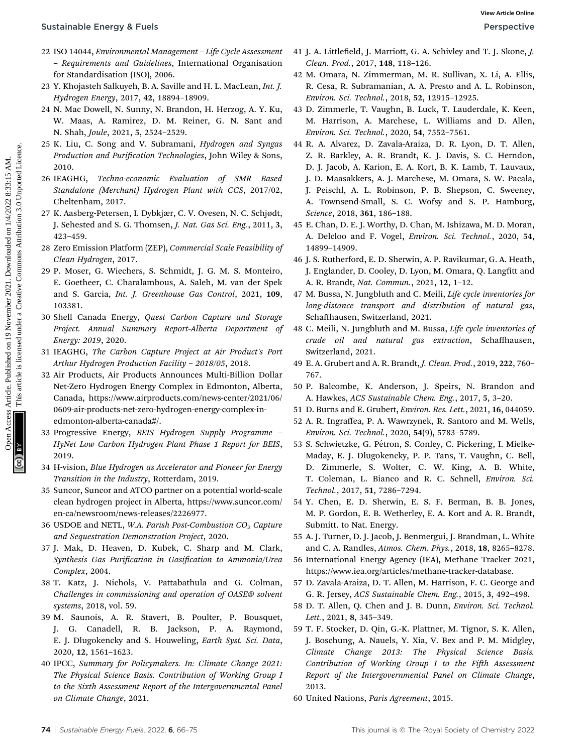- 22 ISO 14044, Environmental Management Life Cycle Assessment – Requirements and Guidelines, International Organisation for Standardisation (ISO), 2006.
- 23 Y. Khojasteh Salkuyeh, B. A. Saville and H. L. MacLean, Int. J. Hydrogen Energy, 2017, 42, 18894–18909.
- 24 N. Mac Dowell, N. Sunny, N. Brandon, H. Herzog, A. Y. Ku, W. Maas, A. Ramirez, D. M. Reiner, G. N. Sant and N. Shah, Joule, 2021, 5, 2524–2529.
- 25 K. Liu, C. Song and V. Subramani, Hydrogen and Syngas Production and Purification Technologies, John Wiley & Sons, 2010.
- 26 IEAGHG, Techno-economic Evaluation of SMR Based Standalone (Merchant) Hydrogen Plant with CCS, 2017/02, Cheltenham, 2017.
- 27 K. Aasberg-Petersen, I. Dybkjær, C. V. Ovesen, N. C. Schjødt, J. Sehested and S. G. Thomsen, J. Nat. Gas Sci. Eng., 2011, 3, 423–459.
- 28 Zero Emission Platform (ZEP), Commercial Scale Feasibility of Clean Hydrogen, 2017.
- 29 P. Moser, G. Wiechers, S. Schmidt, J. G. M. S. Monteiro, E. Goetheer, C. Charalambous, A. Saleh, M. van der Spek and S. Garcia, Int. J. Greenhouse Gas Control, 2021, 109, 103381.
- 30 Shell Canada Energy, Quest Carbon Capture and Storage Project. Annual Summary Report-Alberta Department of Energy: 2019, 2020.
- 31 IEAGHG, The Carbon Capture Project at Air Product's Port Arthur Hydrogen Production Facility – 2018/05, 2018.
- 32 Air Products, Air Products Announces Multi-Billion Dollar Net-Zero Hydrogen Energy Complex in Edmonton, Alberta, Canada, https://www.airproducts.com/news-center/2021/06/ 0609-air-products-net-zero-hydrogen-energy-complex-inedmonton-alberta-canada#/.
- 33 Progressive Energy, BEIS Hydrogen Supply Programme HyNet Low Carbon Hydrogen Plant Phase 1 Report for BEIS, 2019.
- 34 H-vision, Blue Hydrogen as Accelerator and Pioneer for Energy Transition in the Industry, Rotterdam, 2019.
- 35 Suncor, Suncor and ATCO partner on a potential world-scale clean hydrogen project in Alberta, https://www.suncor.com/ en-ca/newsroom/news-releases/2226977.
- 36 USDOE and NETL, W.A. Parish Post-Combustion  $CO<sub>2</sub>$  Capture and Sequestration Demonstration Project, 2020.
- 37 J. Mak, D. Heaven, D. Kubek, C. Sharp and M. Clark, Synthesis Gas Purification in Gasification to Ammonia/Urea Complex, 2004.
- 38 T. Katz, J. Nichols, V. Pattabathula and G. Colman, Challenges in commissioning and operation of OASE® solvent systems, 2018, vol. 59.
- 39 M. Saunois, A. R. Stavert, B. Poulter, P. Bousquet, J. G. Canadell, R. B. Jackson, P. A. Raymond, E. J. Dlugokencky and S. Houweling, Earth Syst. Sci. Data, 2020, 12, 1561–1623.
- 40 IPCC, Summary for Policymakers. In: Climate Change 2021: The Physical Science Basis. Contribution of Working Group I to the Sixth Assessment Report of the Intergovernmental Panel on Climate Change, 2021.
- 41 J. A. Littlefield, J. Marriott, G. A. Schivley and T. J. Skone, J. Clean. Prod., 2017, 148, 118–126.
- 42 M. Omara, N. Zimmerman, M. R. Sullivan, X. Li, A. Ellis, R. Cesa, R. Subramanian, A. A. Presto and A. L. Robinson, Environ. Sci. Technol., 2018, 52, 12915–12925.
- 43 D. Zimmerle, T. Vaughn, B. Luck, T. Lauderdale, K. Keen, M. Harrison, A. Marchese, L. Williams and D. Allen, Environ. Sci. Technol., 2020, 54, 7552–7561.
- 44 R. A. Alvarez, D. Zavala-Araiza, D. R. Lyon, D. T. Allen, Z. R. Barkley, A. R. Brandt, K. J. Davis, S. C. Herndon, D. J. Jacob, A. Karion, E. A. Kort, B. K. Lamb, T. Lauvaux, J. D. Maasakkers, A. J. Marchese, M. Omara, S. W. Pacala, J. Peischl, A. L. Robinson, P. B. Shepson, C. Sweeney, A. Townsend-Small, S. C. Wofsy and S. P. Hamburg, Science, 2018, 361, 186–188. Sustainable Energy & Fuels<br>
22 BO 10.014, Environmental Management - Life Cycle Assessment 11 A. Michard Commons, 2021. He, 1116-13. Commons, 2021. He, 1116-13. Commons, 2021. He, 1116-13. A. S. This article is life are c
	- 45 E. Chan, D. E. J. Worthy, D. Chan, M. Ishizawa, M. D. Moran, A. Delcloo and F. Vogel, Environ. Sci. Technol., 2020, 54, 14899–14909.
	- 46 J. S. Rutherford, E. D. Sherwin, A. P. Ravikumar, G. A. Heath, J. Englander, D. Cooley, D. Lyon, M. Omara, Q. Langfitt and A. R. Brandt, Nat. Commun., 2021, 12, 1–12.
	- 47 M. Bussa, N. Jungbluth and C. Meili, Life cycle inventories for long-distance transport and distribution of natural gas, Schaffhausen, Switzerland, 2021.
	- 48 C. Meili, N. Jungbluth and M. Bussa, Life cycle inventories of crude oil and natural gas extraction, Schaffhausen, Switzerland, 2021.
	- 49 E. A. Grubert and A. R. Brandt, J. Clean. Prod., 2019, 222, 760– 767.
	- 50 P. Balcombe, K. Anderson, J. Speirs, N. Brandon and A. Hawkes, ACS Sustainable Chem. Eng., 2017, 5, 3–20.
	- 51 D. Burns and E. Grubert, Environ. Res. Lett., 2021, 16, 044059.
	- 52 A. R. Ingraffea, P. A. Wawrzynek, R. Santoro and M. Wells, Environ. Sci. Technol., 2020, 54(9), 5783–5789.
	- 53 S. Schwietzke, G. Pétron, S. Conley, C. Pickering, I. Mielke-Maday, E. J. Dlugokencky, P. P. Tans, T. Vaughn, C. Bell, D. Zimmerle, S. Wolter, C. W. King, A. B. White, T. Coleman, L. Bianco and R. C. Schnell, Environ. Sci. Technol., 2017, 51, 7286–7294.
	- 54 Y. Chen, E. D. Sherwin, E. S. F. Berman, B. B. Jones, M. P. Gordon, E. B. Wetherley, E. A. Kort and A. R. Brandt, Submitt. to Nat. Energy.
	- 55 A. J. Turner, D. J. Jacob, J. Benmergui, J. Brandman, L. White and C. A. Randles, Atmos. Chem. Phys., 2018, 18, 8265–8278.
	- 56 International Energy Agency (IEA), Methane Tracker 2021, https://www.iea.org/articles/methane-tracker-database.
	- 57 D. Zavala-Araiza, D. T. Allen, M. Harrison, F. C. George and G. R. Jersey, ACS Sustainable Chem. Eng., 2015, 3, 492–498.
	- 58 D. T. Allen, Q. Chen and J. B. Dunn, Environ. Sci. Technol. Lett., 2021, 8, 345–349.
	- 59 T. F. Stocker, D. Qin, G.-K. Plattner, M. Tignor, S. K. Allen, J. Boschung, A. Nauels, Y. Xia, V. Bex and P. M. Midgley, Climate Change 2013: The Physical Science Basis. Contribution of Working Group I to the Fifth Assessment Report of the Intergovernmental Panel on Climate Change, 2013.
	- 60 United Nations, Paris Agreement, 2015.